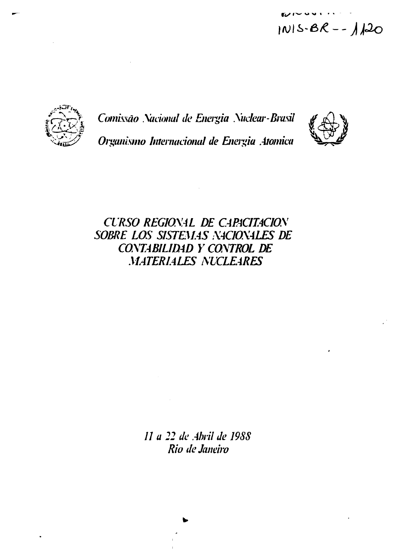$U$   $\sim$   $\sim$   $\sim$   $\sim$   $\sim$  $|N|S-BR - - 120$ 



*Comissão .Xucional de Energia Xuclear-Brasil Organismo Internacional de Energia .Atômica*



*CURSO REG10X4L DE CARACITACIOS SOBRE LOS SISTEMAS X4CIOX4LES DE COM4BILID4D Y COKTROL DE MATERIALES XUCLEARES*

> *II a 22 de Abril de I98S Rio de Janeiro*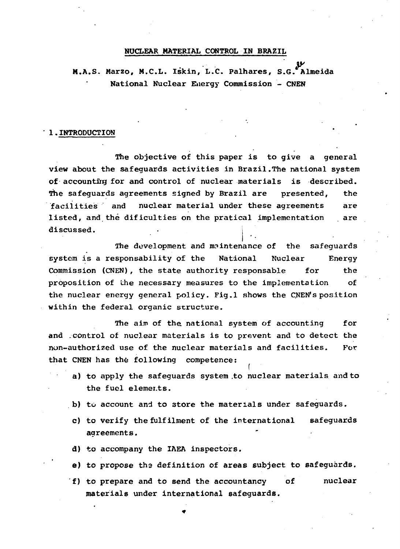### NUCLEAR MATERIAL CONTROL IN BRAZIL

M.A.S. Marzo, M.C.L. Iskin, L.C. Palhares, S.G.'Almeida National Nuclear Energy Commission - CNEN

#### 1.INTRODUCTION

The objective of this paper is to give a general view about the safeguards activities in Brazil.The national system of accounting for and control of nuclear materials is described. The safequards agreements signed by Brazil are presented, the facilities and nuclear material under these agreements are listed, and the dificulties on the pratical implementation are discussed.

The development and maintenance of the safeguards system is a responsability of the National Nuclear Energy Commission (CNEN), the state authority responsable for the proposition of Lhe necessary measures to the implementation of the nuclear energy general policy. Fig.l shows the CNEN's position within the federal organic structure.

The aim of the national system of accounting for and control of nuclear materials is to prevent and to detect the non-authorized use of the nuclear materials and facilities. For that CNEN has the following competence:

- a) to apply the safeguards system .to nuclear materials and to the fuel elemer.ts.
- b) to account and to store the materials under safeguards.
- c) to verify the fulfilment of the international safeguards agreements.
- d) to accompany the IAEA inspectors.
- e) to propose the definition of areas subject to safeguards.
- f) to prepare and to send the accountancy of nuclear materials under international safeguards.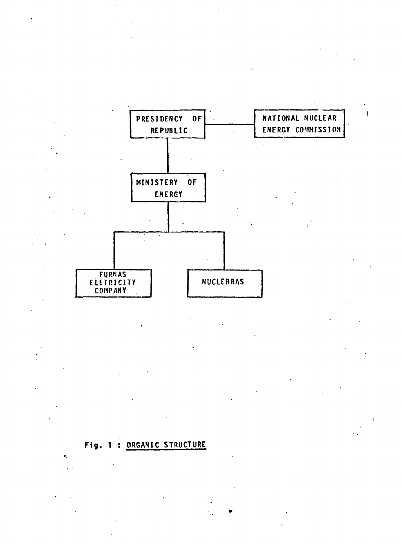

# **Fig . 1 : ORGANIC STRUCTURE**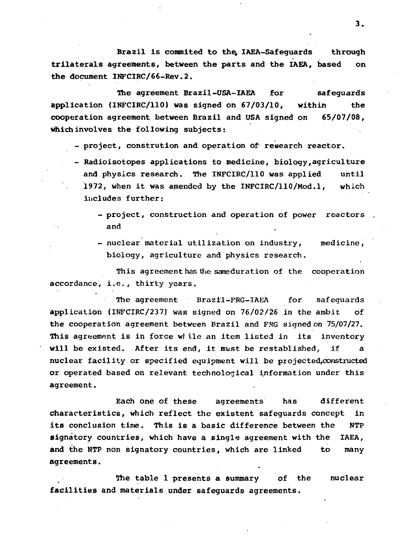Brazil is commited to the IAEA-Safeguards through trilaterals agreements, between the parts and the IAEA, based on the document INFCIRC/66-Rev.2.

The agreement Brazil-USA-IAEA for safeguards application (INFCIRC/110) was signed on 67/03/10, within the cooperation agreement between Brazil and USA signed on 65/07/08, which involves the following subjects:

- project, constrution and operation Of- research reactor.
- Radioisotopes applications to medicine, biology,agriculture and physics research. The INFCIRC/110 was applied until 1972, when it was amended by the INFCIRC/110/Mod.l, which includes further:
	- project, construction and operation of power reactors and
	- nuclear material utilization on industry, medicine, biology, agriculture and physics research.

This agreement has the sameduration of the cooperation accordance, i.e., thirty years.

The agreement Brazil-FRG-IABA for safeguards application (INFCIRC/237) was signed on 76/02/26 in the ambit of the cooperation agreement between Brazil and FRG signed on 75/07/27. This agreement is in force wl ile an item listed in its inventory will be existed. After its end, it must be restablished, if a nuclear facility or specified equipment will be projected,oonstructed or operated based on relevant technological information under this agreement.

Each one of these agreements has different characteristics, which reflect the existent safeguards concept in its conclusion time. This is a basic difference between the NTP signatory countries, which have a single agreement with the IAEA, and the NTP non signatory countries, which are linked to many agreements.

The table 1 presents a summary of the nuclear facilities and materials under safeguards agreements.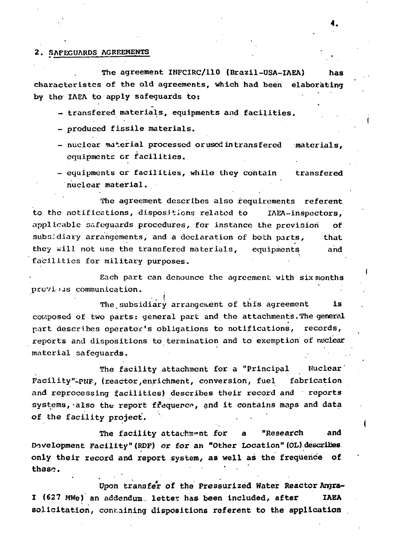#### 2. SAFEGUARDS AGREEMENTS

The agreement INFCIRC/110 (Brazil-USA-IAEA) characteristcs of the old agreements, which had been elaborating by the IAEA to apply safeguards to:

- transfered materials, equipments and facilities.
- produced fissile materials.
- nuclear material processed orused intransfered materials, equipments or facilities.
- equipments or facilities, while they contain transfered nuclear material.

The agreement describes also requirements referent to the notifications, dispositions related to IAEA-inspectors, applicable safeguards procedures, for instance the prevision of subsidiary arrangements, and a declaration of both parts, that they will not use the transfered materials, equipments and facilities for military purposes.

Each part can denounce the agreement with six months previ-jus communication.

**• •• f** The subsidiary arrangement of this adreement is composed of two parts: general part and the attachments. The general rart describes operator's obligations to notifications, records, part describes operator's obligations to notifications, reports and dispositions to termination and to exemption of nuclear material safeguards. .

The facility attachment for a "Principal Nuclear Facility"-pNF, (reactor,enrichment, conversion, fuel fabrication and reprocessing facilities) describes their record and reports systems, also the report frequence, and it contains maps and data of the facility project.

The facility attachment for a "Research **and** Development Facility" (RDF) or **for an** "Other Location" (OL) describes **only their** record and **report** system, as well as the frequence of **these. •••'• '**

**Upon transfer of the Pressurized Water Reactor Angra-I (627 MWe) an addendum letter has been included, after IAEA solicitation, containing dispositions referent to the application**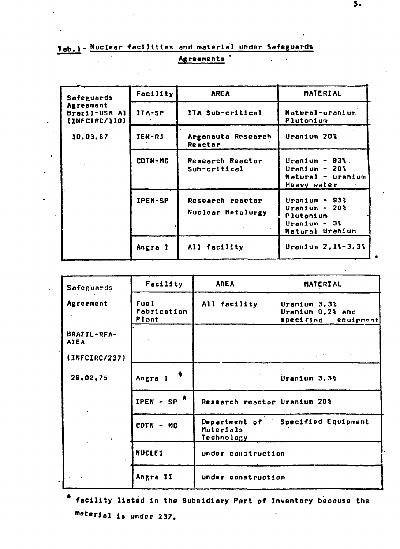## **Tab.** 1 - Nuclear facilities and material under Safeguards Agreements '

| Safeguards                                  | Facility       | <b>AREA</b>                           | <b>MATERIAL</b>                                                                       |
|---------------------------------------------|----------------|---------------------------------------|---------------------------------------------------------------------------------------|
| Agreement<br>Brazil-USA Al<br>(INFCIRC/110) | ITA-SP         | ITA Sub-critical                      | Natural-uranium<br>Plutonium                                                          |
| 10,03,67                                    | IEN-RJ         | Argonauta Research<br>Reactor         | Uranium 20%                                                                           |
|                                             | COTN-MG        | Research Reactor<br>Sub-critical      | Uranium - $93\%$<br>Uranium - $20\%$<br>Natural - uranium<br>Heavy water              |
|                                             | <b>IPEN-SP</b> | Research reactor<br>Nuclear Metalurgy | Uranium - $93\%$<br>'Uran1um - 20%<br>Plutonium<br>Uranium - $3\%$<br>Natural Uranium |
|                                             | Angra l        | All facility                          | Uranium $2, 13 - 3, 33$                                                               |

| Safeguards                 | Facility                     | <b>AREA</b>                              | MATERIAL                                                |
|----------------------------|------------------------------|------------------------------------------|---------------------------------------------------------|
| Agreement                  | Fuel<br>Fabrication<br>Plant | All facility                             | Uranium 3.3%<br>Uranium 0,2% and<br>specified equipment |
| BRAZIL-RFA-<br><b>AIEA</b> |                              |                                          |                                                         |
| (INFCIRC/237)              |                              |                                          |                                                         |
| 26,02,75                   | *<br>Angra 1                 |                                          | Uranium 3.3%                                            |
|                            | IPEN - SP $*$                | Research reactor Uranium 20%             |                                                         |
|                            | CDTN - MG                    | Department of<br>Materials<br>Technology | Specified Equipment                                     |
|                            | <b>NUCLEI</b>                | under construction                       |                                                         |
|                            | Angra II                     | under construction                       |                                                         |

facility listed In **the** Subsidiary Part of Inventory because the material is under 237.

 $5 -$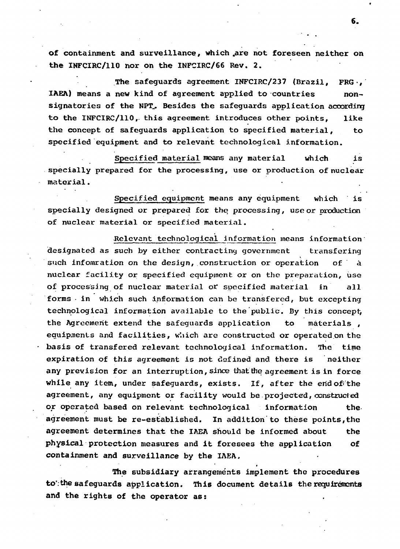of containment and surveillance, which .are not foreseen neither on the INFCIRC/110 nor on the INFCIRC/66 Rev. 2.

The safeguards agreement INFCIRC/237 (Brazil, FRG-, IAEA) means a new kind of agreement applied to countries nonsignatories of the NPT. Besides the safequards application according to the INFCIRC/110, this agreement introduces other points, like the concept of safeguards application to specified material, to specified equipment and to relevant technological information.

Specified material means any material which is specially prepared for the processing, use or production of nuclear material.

Specified equipment means any equipment which is specially designed or prepared for the processing, use or production of nuclear material or specified material.

Relevant technological information means information designated as such by either contracting government transfering such infomration on the design, construction or operation of á nuclear facility or specified equipment or on the preparation, use of processing of nuclear material or specified material in all forms • in which such information can be transfered, but excepting technological information available to the public. By this concept, the Agreement extend the safeguards application to materials , equipments and facilities, which are constructed or operated on the basis of transfered relevant technological information. The time expiration of this agreement is not defined and there is neither any prevision for an interruption, since that the agreement is in force while any item, under safeguards, exists. If, after the end of the agreement, any equipment or facility would be projected, constructed or operated based on relevant technological information the agreement must be re-established. In addition to these points, the agreement determines that the IAEA should be informed about the physical protection measures and it foresees the application of containment and surveillance by the IAEA.

The subsidiary arrangements implement the procedures to'.the safeguards application. This document details the requirements and the rights of the operator as: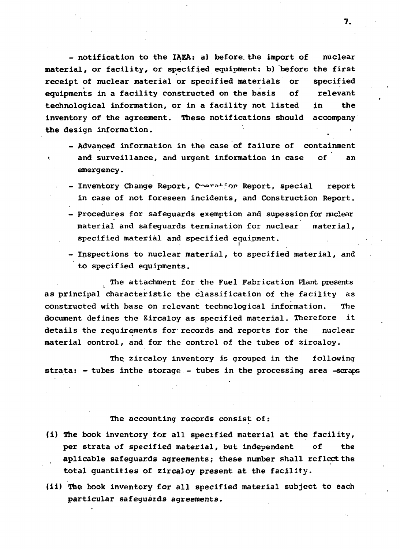- notification to the IAEA: a) before, the import of nuclear material, or facility, or specified equipment: b) before the first receipt of nuclear material or specified materials or specified equipments in a facility constructed on the basis of relevant technological information, or in a facility not listed in the inventory of the agreement. These notifications should accompany the design information. •

- Advanced information in the case of failure of containment and surveillance, and urgent information in case of an emergency.
- Inventory Change Report, Coeration Report, special report in case of not foreseen incidents, and Construction Report.
- Procedures for safeguards exemption and supessionfór nuclear material and safeguards termination for nuclear material, specified material and specified equipment.
- Inspections to nuclear material, to specified material, and to specified equipments.

The attachment for the Fuel Fabrication Plant presents as principal characteristic the classification of the facility as constructed with base on relevant technological information. The document defines the Zircaloy as specified material. Therefore it details the requirements for records and reports for the nuclear material control, and for the control of the tubes of zircaloy.

The zircaloy inventory is grouped in the following strata: - tubes inthe storage - tubes in the processing area -scraps

#### The accounting records consist of:

- (i) The book inventory for all specified material at the facility, per strata of specified material, but independent of the aplicable safeguards agreements; these number shall reflect the total quantities of zircaloy present at the facility.
- (ii) The book inventory for all specified material subject to each particular safeguards agreements.

7.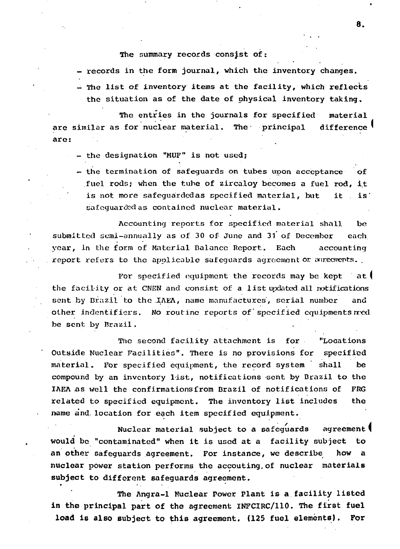#### The summary records consist of:

- records in the form journal, which the inventory changes.
- $-$  The list of inventory items at the facility, which reflects the situation as of the date of physical inventory taking.

The entries in the journals for specified material are similar as for nuclear material. The principal difference are:

- the designation "MUF" is not used;
- the termination of safequards on tubes upon acceptance of fuel rods; when the tube of zircaloy becomes a fuel rod, it is not more safeguardedas specified material, but it is" safequarded as contained nuclear material.

Accounting reports for specified material shall be submitted semi-annually as of 30 of June and 31 of December each year, in the form of Material Balance Report. Each accounting report refers to the applicable safeguards agreement or agreements.

For specified equipment the records may be kept at the facility or at CNEN and consist of a list updated all notifications sent by Brazil to the IAEA, name manufactures, serial number and other indentifiers. No routine reports of specified equipments red be sent by Brazil.

The second facility attachment is for "Locations Outside Nuclear Facilities". There is no provisions for specified material. For specified equipment, the record system shall be compound by an inventory list, notifications sent by Brazil to the IAEA as well the confirmations from Brazil of notifications of FRG related to specified equipment. The inventory list includes the name and location for each item specified equipment.

Nuclear material subject to a safeguards agreement f would be "contaminated" when it is used at a facility subject to an other safeguards agreement. For instance, we describe how a nuclear power station performs the accouting,of nuclear materials subject to different safeguards agreement.

The Angra-1 Nuclear Power Plant is a facility listed in the principal part of the agreement lNFCIRC/110. The first fuel load is also subject to this agreement. (125 fuel elements). For

8.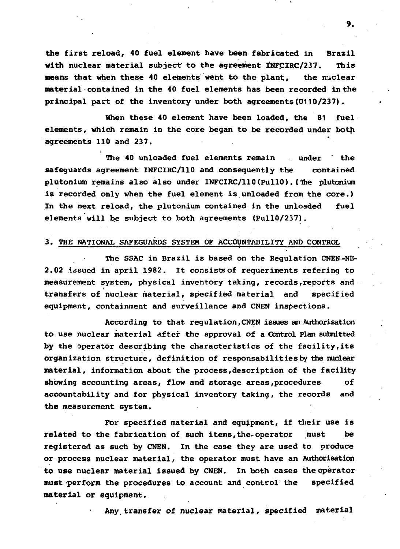**the first reload, 40 fuel element have been fabricated in Brazil** with nuclear material subject to the agreement INFCIRC/237. This **means that when these 40 elements went to the plant, the nuclear material contained in the 40 fuel elements has been recorded in the principal part of the inventory under both agreements(U110/237).**

**When these 40 element have been loaded, the 81 fuel elements, which remain in the core began to be recorded under both agreements 110 and 237. .**

**The 40 unloaded fuel elements remain under ' the safeguards agreement INFCIRC/110 and consequently the contained plutonium remains also also under INFCIRC/110(PullO).(The plutonium is recorded only when the fuel element is unloaded from the core.) In the next reload, the plutonium contained in the unloaded fuel elements will be subject to both agreements (PullO/237).**

#### **3. THE NATIONAL SAFEGUARDS SYSTEM OF ACCOUNTABILITY AND CONTROL**

**The SSAC in Brazil is based on the Regulation CNEN-NE-2.02 issued in april 1982. It consists of requeriments refering to measurement system, physical inventory taking, records,reports and transfers of nuclear material, specified material and specified equipment, containment and surveillance and CNEN inspections.**

**According to that regulation,CNEN issues an Authorisation to use nuclear material after the approval of a Control Plan submitted by the operator describing the characteristics of the facility,its organization structure, definition of responsabilitiesby the nuclear material, information about the process,description of the facility showing accounting areas, flow and storage areas,procedures of accountability and for physical inventory taking, the records and the measurement system.**

**For specified material and equipment, if their use is related to the fabrication of such items,the-operator must be registered as such by CNEN. In the case they are used to produce or process nuclear material, the operator must have an Authorisation to use nuclear material issued by CNEN. in both cases the operator must perform the procedures to account and control the specified material or equipment.**

**Any transfer of nuclear material, specified material**

9.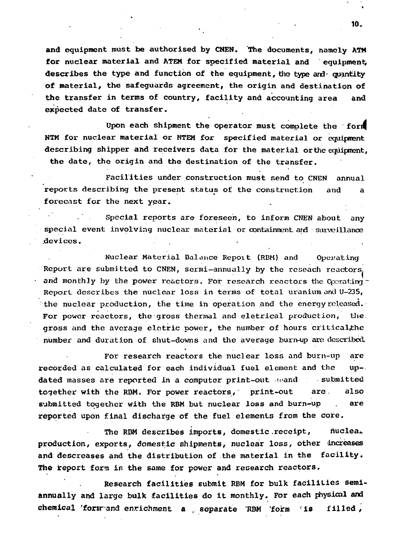and equipment must be authorised by CNEN. The documents, namely ATM for nuclear material and ATEM for specified material and equipment, describes the type and function of the equipment, the type and  $\alpha$  quantity of material, the safeguards agreement, the origin and destination of the transfer in terms of country, facility and accounting area and expected date of transfer.

Upon each shipment the operator must complete the forif NTM for nuclear material or NTEM for specified material or equipment describing shipper and receivers data for the material orthe equipment. the date, the origin and the destination of the transfer.

Facilities under construction must send to CNEN annual reports describing the present status of the construction and a forecast for the next year.

Special reports are foreseen, to inform CNEN about any special event involving nuclear material or containment and surveillance .devices. . . .

Nuclear Material Balance Repoit (RBM) and Operating Report are submitted to CNEN, sermi-annuolly by the reseach reactors, and monthly by the power reactors. For research reactors the Coorating -Report describes the nuclear loss in terms of total uranium and U-235, :the nuclear production, the time in operation and the energy released. For power reactors, the gross thermal and eletrical production, the gross and the average eletric power, the number of hours criticalthe number and duration of shut-downs and the average burn-up are described.

For research reactors the nuclear loss and burn-up are recorded as calculated for each individual fuel element and the up-, dated masses are reported in a computer print-out awand • submitted together with the RBM. For power reactors, print-out are also submitted together with the RBM but nuclear loss and burn-up . are reported upon final discharge of the fuel elements from the core.

The RBM describes imports, domestic receipt, nuclea. production, exports, domestic shipments, nuclear loss, other increases and descreases and the distribution of the material in the facility. The report form is the same for power and research reactors.

Research facilities submit RBM for bulk facilities semiannually and large bulk facilities do it monthly. For each physical and chemical 'form-and enrichment a , separate 'RBM 'form 'is filled,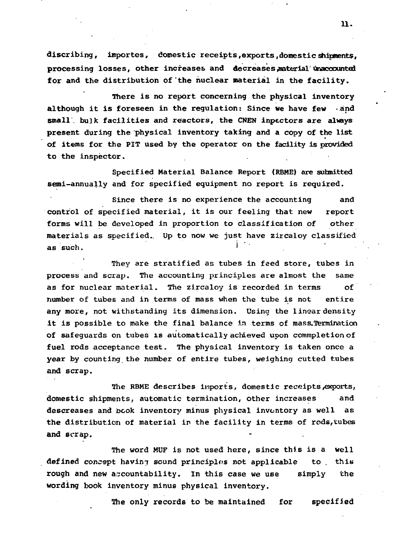discribing, importes, domestic receipts, exports, domestic shipments. processing losses, other increases and decreases material unaccounted for and the distribution of the nuclear material in the facility.

There is no report concerning the physical inventory although it is foreseen in the regulation: Since we have few and small" bulk facilities and reactors, the CNEN inpectors are always present during the physical inventory taking and a copy of the list of items for the PIT used by the operator on the facility is provided to the inspector.

Specified Material Balance Report (RBME) are submitted semi-annually and for specified equipment no report is required.

Since there is no experience the accounting and control of specified material, it is our feeling that new report forms will be developed in proportion to classification of other materials as specified.. Up to now we just have zircaloy classified as such.

They are stratified as tubes in feed store, tubes in process and scrap. The accounting principles are almost the same as for nuclear material. The zircaloy is recorded in terms of number of tubes and in terms of mass when the tube is not entire any more, not withstanding its dimension. Using the linear density it is possible to make the final balance in terms of mass.Termination of safeguards on tubes is automatically achieved upon commpletionof fuel rods acceptance test. The physical inventory is taken once a year by counting the number of entire tubes, weighing cutted tubes and scrap.

The RBME describes imports, domestic receipts exports, domestic shipments, automatic termination, other increases and descreases and book inventory minus physical inventory as well as the distribution of material in the facility in terms of rods, tubes and scrap.

The word MUF is not used here, since this is a well defined concept having sound principles not applicable to . this **rough and new accountability. In this case we use simply the wording book inventory minus physical inventory.**

**The only records to be maintained for specified**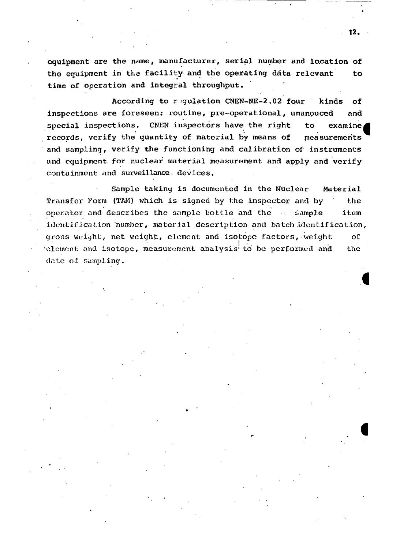equipment are the name, manufacturer, serial number and location of the equipment in the facility and the operating data relevant to time of operation and integral throughput.

According to regulation CNEN-NE-2.02 four kinds of inspections are foreseen: routine, pre-operational, unanouced and special inspections. CNEN inspectors have the right to examine records, verify the quantity of material by means of measurements and sampling, verify the functioning and calibration of instruments and equipment for nuclear material measurement and apply and verify containment and surveillance: devices.

Sample taking is documented in the Nuclear Material Transfer Form (TAM) which is signed by the inspector and by the operator and describes the sample bottle and the . Sample item identification number, material description and batch identification, gross weight, net weight, element and isotope factors, weight of •element: and isotope, measurement analysis'to be performed and the date of sampling.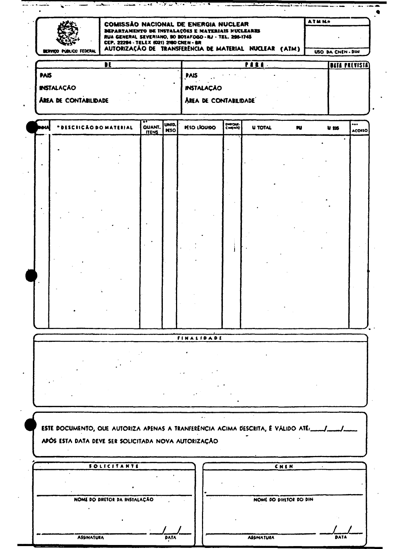| ervico publico federal | COMISSÃO NACIONAL DE ENERGIA NUCLEAR<br><b>DEPARTAMENTO DE INSTALAÇÕES E MATERIAIS NUCLEARES</b><br>RUA GENERAL SEVERIANO, 90 BOTAFOGO - RJ - TEL. 295-1745<br>CEP. 22294 - TELEX (021) 2180 CNEM - BR | AUTORIZAÇÃO DE TRANSFERÊNCIA DE MATERIAL NUCLEAR (ATM) |      | <b>ATMN.</b> | USO DA CHEN - DIN    |
|------------------------|--------------------------------------------------------------------------------------------------------------------------------------------------------------------------------------------------------|--------------------------------------------------------|------|--------------|----------------------|
|                        |                                                                                                                                                                                                        |                                                        | ,,,, |              | <b>DATA PREVISTA</b> |
| ١Š.                    |                                                                                                                                                                                                        | <b>PAIS</b>                                            |      |              |                      |

| <b>7733</b>                  | I FAIJ<br>. .         |
|------------------------------|-----------------------|
| <b>INSTALAÇÃO</b>            | <b>INSTALAÇÃO</b>     |
| <b>AREA DE CONTABILIDADE</b> | AREA DE CONTABILIDADE |
|                              |                       |

| NM        | <b>IICÃO DO MATERIAL</b><br>۰.<br>65 C I | <b>QUANT.</b> UNID. | <b>PESO LÍQUIDO</b> | EMPOUR- | <b>U TOTAL</b> | PU. | $u$ 135   | <br>ACOISO |
|-----------|------------------------------------------|---------------------|---------------------|---------|----------------|-----|-----------|------------|
|           |                                          |                     |                     |         |                |     | $\bullet$ |            |
| $\bullet$ |                                          |                     |                     |         |                |     |           |            |
|           |                                          |                     |                     |         |                |     |           |            |
|           |                                          |                     |                     |         |                |     |           |            |
|           |                                          |                     |                     |         |                |     |           |            |
|           |                                          |                     |                     |         |                |     |           |            |
| $\bullet$ |                                          |                     |                     |         |                |     |           |            |
|           |                                          |                     |                     |         |                |     |           |            |
|           |                                          |                     |                     |         |                |     |           |            |

## FINALIDADE

| ESTE DOCUMENTO, QUE AUTORIZA APENAS A TRANFERÊNCIA ACIMA DESCRITA, É VÁLIDO ATÉ: //<br>APÓS ESTA DATA DEVE SER SOLICITADA NOVA AUTORIZAÇÃO |                                  |
|--------------------------------------------------------------------------------------------------------------------------------------------|----------------------------------|
|                                                                                                                                            |                                  |
| <b>SOLICITANTE</b>                                                                                                                         | CNEM                             |
|                                                                                                                                            |                                  |
|                                                                                                                                            |                                  |
| NOME DO DIRETOR DA INSTALAÇÃO                                                                                                              | NOME DO DIRETOR DO DIN           |
|                                                                                                                                            |                                  |
|                                                                                                                                            |                                  |
|                                                                                                                                            |                                  |
| <b>ASSINATURA</b><br>DATA                                                                                                                  | <b>DATA</b><br><b>ASSINATURA</b> |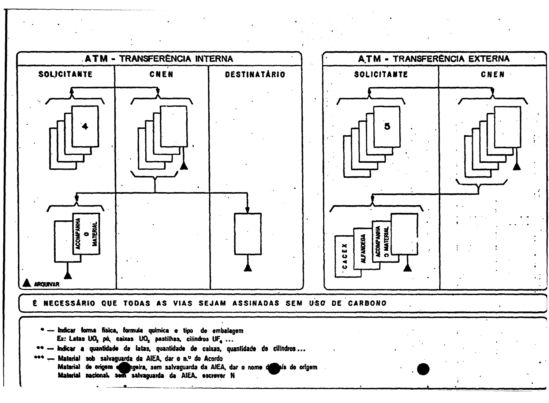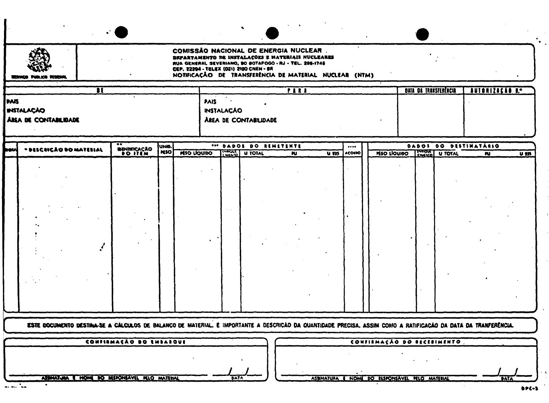| <b>COMISSÃO NACIONAL DE ENERGIA NUCLEAR.</b><br>DEPARTAMENTO DE INSTALAÇÕES E MATERIAIS NUCLEARES<br>RUA GENERAL SEVERIANO, 90 80TAFOGO - RJ - TEL. 295-1745<br>CEP. 22294 - TELEX (021) 2180 CNEN - SR<br>NOTIFICAÇÃO DE TRANSFERÊNCIA DE MATERIAL NUCLEAR (NTM)<br>SERVICO PÚBLICO VEDENAL |                                                                   |                                      |                     |                    |                   |                                          |                         |                   |                                          |                            |                              |  |                                                  |                |
|----------------------------------------------------------------------------------------------------------------------------------------------------------------------------------------------------------------------------------------------------------------------------------------------|-------------------------------------------------------------------|--------------------------------------|---------------------|--------------------|-------------------|------------------------------------------|-------------------------|-------------------|------------------------------------------|----------------------------|------------------------------|--|--------------------------------------------------|----------------|
| <b>PAIS</b>                                                                                                                                                                                                                                                                                  | $\mathbf{H}$<br><b>INSTALAÇÃO</b><br><b>AREA DE CONTABILIDADE</b> |                                      |                     | PAIS               | <b>INSTALAÇÃO</b> | AREA DE CONTABILIDADE                    | TIRI                    |                   |                                          |                            | <b>BAIA DA IRANSFERÊNCIA</b> |  | <b>AUTORIZAÇÃO I.º</b>                           |                |
|                                                                                                                                                                                                                                                                                              | * DESCRIÇÃO DO MATEBIAL                                           | <b>BENIMICAÇÃO</b><br><b>DO JTEM</b> | UNIO.<br><b>MSO</b> | <b>MSO LIQUIDO</b> |                   | *** DADOS DO REMETENTE<br>THRUCT U TOTAL | $\overline{\mathbf{M}}$ | $\overline{u}$ ms | $\bullet\bullet\bullet\bullet$<br>ACOIDO | PESO LIQUIDO CHANG U TOTAL |                              |  | DADOS DO DESTINATÁRIO<br>$\overline{\mathbf{M}}$ | $\overline{u}$ |
|                                                                                                                                                                                                                                                                                              |                                                                   |                                      |                     |                    |                   |                                          |                         |                   |                                          |                            |                              |  |                                                  |                |

| ESTE DOCUMENTO DESTINA-SE A CALCULOS DE BALANÇO DE MATERIAL. É IMPORTANTE A DESCRIÇÃO DA QUANTIDADE PRECISA, ASSIM COMO A RATIFICAÇÃO DA DATA DA TRAMFERÊNCIA. |                            |  |
|----------------------------------------------------------------------------------------------------------------------------------------------------------------|----------------------------|--|
| CONFIRMACÃO DO EMBARQUE                                                                                                                                        | CONFIRMAÇÃO DO RECEBIMENTO |  |
|                                                                                                                                                                |                            |  |
|                                                                                                                                                                |                            |  |

**ASSINATURA** 

NOME DO RESPONSAVEL PELO MATERIAL

DATA

**MATERIA** 

**BPC-3** 

DATA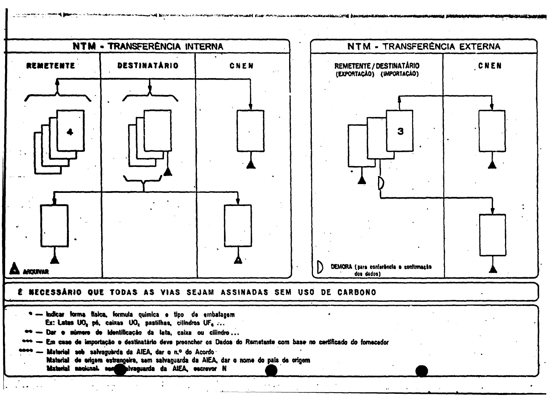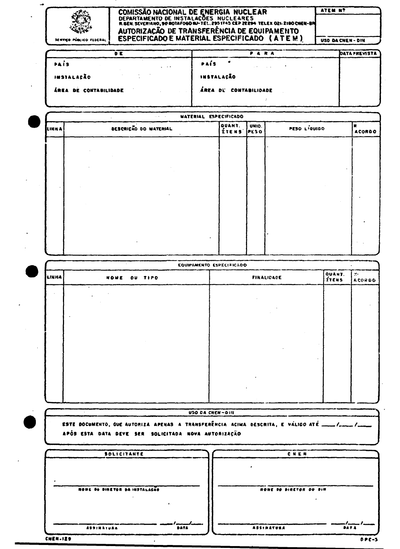| SENVICO PÚBLICO FLUERAL |                      | COMISSÃO NACIONAL DE ENERGIA NUCLEAR<br>DEPARTAMENTO DE INSTALAÇÕES NUCLEARES<br>R.GEN. SEVERIANO, 90 BOTAFOGO IN-TEL. 2951745 CEP 22294 TELEX O21-2180 CHEN-BR<br>AUTORIZAÇÃO DE TRANSFERÊNCIA DE EQUIPAMENTO<br>ESPECIFICADO E MATERIAL ESPECIFICADO (ATEM) | ATEM Nº<br>USO DA CHEN-DIN |
|-------------------------|----------------------|---------------------------------------------------------------------------------------------------------------------------------------------------------------------------------------------------------------------------------------------------------------|----------------------------|
|                         | <b>DE</b>            | <b>PARA</b>                                                                                                                                                                                                                                                   | <b>DATAPREVISTA</b>        |
| PAÍS                    | $\sim$ $\sim$ $\sim$ | <b>PAÍS</b><br>state of the control of the                                                                                                                                                                                                                    |                            |
| INSTALAÇÃO              |                      | INSTALAÇÃO                                                                                                                                                                                                                                                    |                            |
| AREA DE CONTABILIDADE   |                      | ÁREA DE CONTABILIDADE                                                                                                                                                                                                                                         |                            |
|                         |                      |                                                                                                                                                                                                                                                               |                            |

|              | <b>Service Control</b>       | MATERIAL ESPECIFICADO |               |              |               |
|--------------|------------------------------|-----------------------|---------------|--------------|---------------|
| <b>LINNA</b> | <b>DESCRIÇÃO DO MATERIAL</b> | QUANT.<br>ITENS       | UNID.<br>PESO | PESO LIQUIDO | <b>ACORDO</b> |
|              |                              |                       |               |              |               |
|              |                              |                       |               |              |               |
|              |                              |                       |               |              |               |
|              |                              |                       |               |              |               |
|              |                              |                       |               |              |               |
|              |                              |                       |               |              |               |
|              |                              |                       |               |              |               |
|              |                              |                       |               |              |               |
|              |                              |                       |               |              |               |

| <b>LINHA</b> | OU TIPO<br>NONE | <b>FINALIDADE</b> | QUANT.<br><b>ÍTENS</b> | $\mathbf{R}^{\mathbf{a}}$<br><b>ACORDO</b> |
|--------------|-----------------|-------------------|------------------------|--------------------------------------------|
|              |                 |                   |                        |                                            |
|              |                 |                   |                        |                                            |
|              |                 |                   |                        |                                            |
|              |                 |                   |                        |                                            |
|              |                 |                   |                        |                                            |
|              |                 |                   |                        |                                            |
|              |                 |                   |                        |                                            |
|              |                 |                   |                        |                                            |
|              |                 |                   |                        |                                            |
|              |                 | USO DA CNEN-DIN   |                        |                                            |

| <b>SOLICITANTE</b>                   | <b>CNEN</b>                      |
|--------------------------------------|----------------------------------|
|                                      |                                  |
|                                      |                                  |
|                                      |                                  |
| <b>NONE OO DIRETOR DA INSTALAÇÃO</b> | NONE 90 SIRETOR DO DIN           |
|                                      |                                  |
| $\bullet$ .                          |                                  |
|                                      |                                  |
| <b>ASSINATURA</b><br>DATA            | <b>ASSIBATURA</b><br><b>DATA</b> |
|                                      |                                  |
| CNEN-IZ9                             | $DPC-3$                          |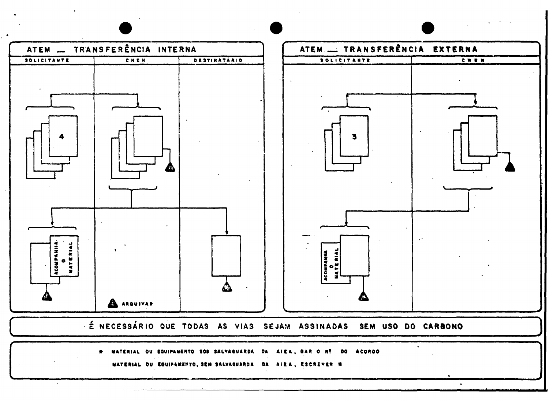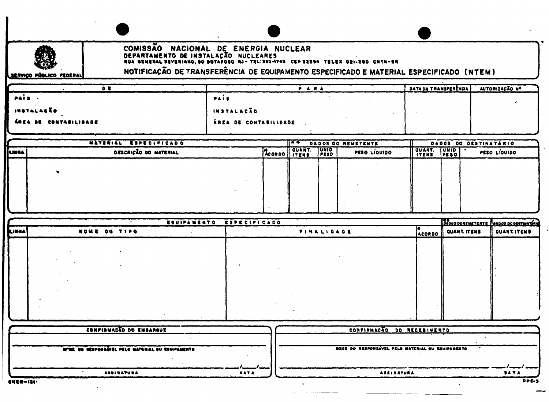![](_page_19_Picture_0.jpeg)

![](_page_19_Picture_1.jpeg)

# COMISSÃO NACIONAL DE ENERGIA NUCLEAR<br>DEPARTAMENTO DE INSTALAÇÃO NUCLEARES<br>NUA SENERAL SEVERIANO, SO SOTAFOGO NJ-TELIZOS-1745 CEP 22254 TELEX 021-280 CHEN-SR

SERVIÇO PÚBLICO FEDERAL

NOTIFICAÇÃO DE TRANSFERÊNCIA DE EQUIPAMENTO ESPECIFICADO E MATERIAL ESPECIFICADO (NTEM)

|                                                                                                                 |                       | DATA DA TRANSFERÈNCIA. | AUTORIZAÇÃO Nº |
|-----------------------------------------------------------------------------------------------------------------|-----------------------|------------------------|----------------|
| PAIS.                                                                                                           | PAIS                  |                        |                |
| INSTALAÇÃO                                                                                                      | <b>INSTALAÇÃO</b>     |                        |                |
| ÁREA DE CONTABILIDADE                                                                                           | ÀREA DE CONTABILIDADE |                        |                |
| the contract of the contract of the contract of the contract of the contract of the contract of the contract of |                       |                        |                |

|       | MATERIAL ESPECIFICADO |  |              |                             | ∏कक<br>DADOS DO REMETENTE |        |              | DADOS DO DESTINATÁRIO |  |  |
|-------|-----------------------|--|--------------|-----------------------------|---------------------------|--------|--------------|-----------------------|--|--|
| LINNA | DESCRIÇÃO DO MATERIAL |  | ACORDO ITENS | <b>TUNIO</b><br><b>PESO</b> | <b>PESO LIQUIDO</b>       | OUANT. | <b>UNID.</b> | PESO LIQUIDO          |  |  |
|       |                       |  |              |                             |                           |        |              |                       |  |  |
|       |                       |  |              |                             |                           |        |              |                       |  |  |
|       |                       |  |              |                             |                           |        |              |                       |  |  |
|       |                       |  |              |                             |                           |        |              |                       |  |  |
|       |                       |  |              |                             |                           |        |              |                       |  |  |

|        |              | EQUIPAMENTO ESPECIFICADO |        | <b>IDADOS DORENETENTE RAADOS DO DESTINATÁRIO</b> |             |
|--------|--------------|--------------------------|--------|--------------------------------------------------|-------------|
| LINNA) | NOWE OU TIPO | FINALIDADE               | ACORDO | QUANT. ITENS                                     | QUANT.ITENS |
|        |              |                          |        |                                                  |             |
|        |              |                          |        |                                                  |             |
|        |              |                          |        |                                                  |             |
|        |              |                          |        |                                                  |             |
|        |              |                          |        |                                                  |             |
|        |              |                          |        |                                                  |             |
|        |              |                          |        |                                                  |             |
|        |              |                          |        |                                                  |             |

| CONFINUAÇÃO DO EMBARQUE                          | CONFINMAÇÃO DO RECEBIMENTO                       |
|--------------------------------------------------|--------------------------------------------------|
|                                                  |                                                  |
| NAME OO MEDDONSAVEL PELO MATERIAL OU EDUIPAMENTO | NOUE DO RESPONSAVEL PELO MATERIAL OU EQUIPAMENTO |
|                                                  |                                                  |
|                                                  |                                                  |
| <b>ASSIBATURA</b><br><b>DATA</b>                 | <b>ASSINATURA</b><br><b>BATA</b>                 |
|                                                  |                                                  |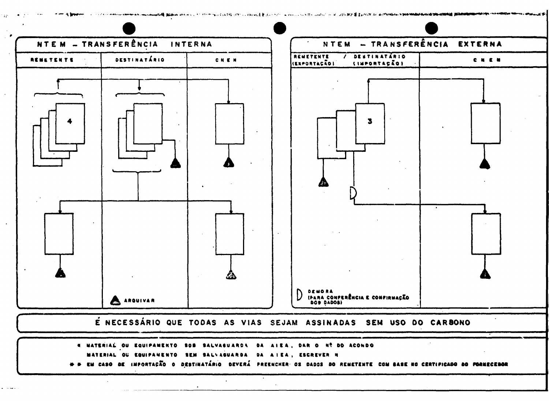![](_page_20_Figure_0.jpeg)

- N MATERIAL OU EQUIPAMENTO SOB SALVAGUARDA DA AIEA, DAR O Nº DO ACONDO
- MATERIAL OU EQUIPAMENTO SEM SALVAGUARDA DA AIEA, ESCREVER N
- + → EM CASO DE IMPORTAÇÃO O DESTINATÁRIO DEVERÁ PREENCHER OS DADOS DO REMETENTE COM BASE NO CERTIFICADO DO PORMECEDOR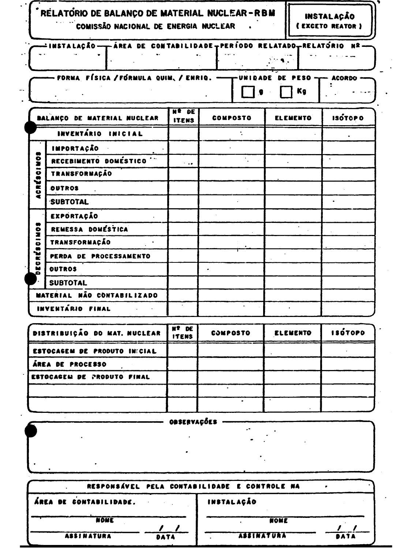|                   | RELATORIO DE BALANÇO DE MATERIAL NUCLEAR-RBM<br>COMISSÃO NACIONAL DE ENERGIA NUCLEAR |                                  |                                                                |  |                 | INSTALAÇÃO<br>( EXCETO REATOR ) |  |
|-------------------|--------------------------------------------------------------------------------------|----------------------------------|----------------------------------------------------------------|--|-----------------|---------------------------------|--|
|                   | ∸INSTA LAÇÃO –                                                                       |                                  | —ÁREA DE CONTABILIDADE∓PERÍODO RELATADO <del>,</del> RELATÓRIO |  |                 | M 2                             |  |
|                   | FORMA FÍSICA / FÓRMULA QUIM, / ENRIQ. -                                              |                                  | -UNIDADE                                                       |  | SO.<br>Kg       | <b>ACORDO</b>                   |  |
|                   | BALANÇO DE MATERIAL NUCLEAR                                                          | <b>H&amp; DE</b><br><b>ITENS</b> | <b>COMPOSTO</b>                                                |  | ELEMENTO        | <b>ISOTOPO</b>                  |  |
|                   | INVENTÁRIO INICIAL                                                                   |                                  |                                                                |  |                 |                                 |  |
|                   | IMPORTAÇÃO                                                                           |                                  |                                                                |  |                 |                                 |  |
|                   | RECEBIMENTO DOMÉSTICO                                                                | 1.14                             |                                                                |  |                 |                                 |  |
| ACRÉSCIMOS        | TRANSFORMAÇÃO                                                                        |                                  |                                                                |  |                 |                                 |  |
|                   | <b>OUTROS</b>                                                                        |                                  |                                                                |  |                 |                                 |  |
|                   | SUBTOTAL                                                                             |                                  |                                                                |  |                 |                                 |  |
|                   | EXPORTAÇÃO                                                                           |                                  |                                                                |  |                 |                                 |  |
|                   | REMESSA DOMÉSTICA                                                                    |                                  |                                                                |  |                 |                                 |  |
| <b>ECRÉSCIMOS</b> | TRANSFORMAÇÃO                                                                        |                                  |                                                                |  |                 |                                 |  |
|                   | PERDA DE PROCESSAMENTO                                                               |                                  |                                                                |  |                 |                                 |  |
|                   | OUTROS                                                                               |                                  |                                                                |  |                 |                                 |  |
|                   | <b>SUBTOTAL</b>                                                                      |                                  |                                                                |  |                 |                                 |  |
|                   | MATERIAL NÃO CONTABILIZADO                                                           |                                  |                                                                |  |                 |                                 |  |
|                   | INVENTÁRIO FINAL                                                                     |                                  |                                                                |  |                 |                                 |  |
|                   | DISTRIBUIÇÃO DO MAT. NUCLEAR                                                         | NT DE<br><b>ITENS</b>            | <b>COMPOSTO</b>                                                |  | <b>ELEMENTO</b> | <b>ISÓTOPO</b>                  |  |

| DISTRIBUICAO DO MAT, NUCLEAR | <b>ITENS</b> | <b>COMPOSTO</b> | ELEMENTO | <b>ISOTOPO</b> |
|------------------------------|--------------|-----------------|----------|----------------|
| ESTOCAGEM DE PRODUTO INFCIAL |              |                 |          |                |
| ÁREA DE PROCESSO             |              |                 |          |                |
| ESTOCAGEN DE PRODUTO FINAL   |              |                 |          |                |
|                              |              |                 |          |                |
|                              |              |                 |          |                |

OBSERVAÇÕES -

Ļ.

| RESPONSÁVEL PELA CONTABILIDADE E CONTROLE NA |                   |      |
|----------------------------------------------|-------------------|------|
| ÁREA DE CONTABILIDADE.                       | INSTALAÇÃO        |      |
| <b>NOWE</b>                                  | NOWE              |      |
| <b>ASSINATURA</b><br>DATA                    | <b>ASSINATURA</b> | DATA |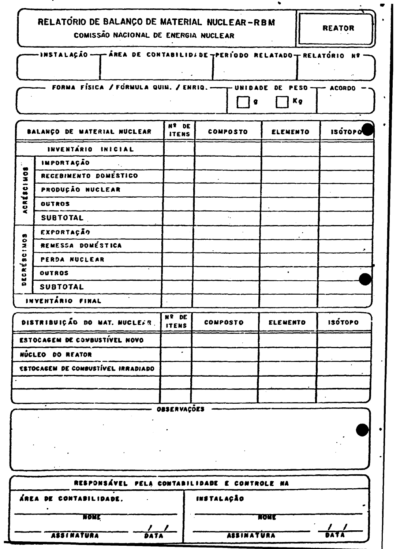| RELATORIO DE BALANÇO DE MATERIAL NUCLEAR-RBM |  |
|----------------------------------------------|--|
| COMISSÃO NACIONAL DE ENERGIA NUCLEAR         |  |

REATOR

 $\bullet$ 

|   | <b>COMISSAY INTOIDING DE ENCHOIA NUCLEAR</b>                          |                       |                 |                 |                |
|---|-----------------------------------------------------------------------|-----------------------|-----------------|-----------------|----------------|
|   | -INSTALAÇÃO — - ÁREA DE CONTABILIDIDE TPERIODO RELATADO TRELATÓRIO Nº |                       |                 |                 |                |
|   | FORMA FÍSICA / FORMULA QUIN. / ENRIQ. -------- UNIDADE DE PESO --     |                       | - 0             | Кg              | <b>ACORDO</b>  |
|   | BALANÇO DE MATERIAL NUCLEAR                                           | Nº DE<br><b>ITENS</b> | <b>COMPOSTO</b> | <b>ELEMENTO</b> | <b>ISOTOPO</b> |
|   | <b>INVENTÁRIO</b><br>INICIAL                                          |                       |                 |                 |                |
|   | IMPORTAÇÃO                                                            |                       |                 |                 |                |
| õ | RECEBINENTO DOMESTICO                                                 |                       |                 |                 |                |

| $rac{5}{2}$<br>$\bullet$ | RECEBIMENTO DOMÉSTICO |    |  |  |  |  |  |  |  |  |
|--------------------------|-----------------------|----|--|--|--|--|--|--|--|--|
|                          | PRODUÇÃO NUCLEAR      |    |  |  |  |  |  |  |  |  |
| ACRÉI                    | <b>OUTROS</b>         |    |  |  |  |  |  |  |  |  |
|                          | <b>SUBTOTAL</b>       | ٠. |  |  |  |  |  |  |  |  |
| $\bullet$                | <b>EXPORTAÇÃO</b>     |    |  |  |  |  |  |  |  |  |
| $\frac{1}{2}$            | REMESSA DOMÉSTICA     |    |  |  |  |  |  |  |  |  |
| $\bullet$<br>$\bullet$   | PERDA NUCLEAR         |    |  |  |  |  |  |  |  |  |
| ia.<br>K<br>$\bullet$    | <b>OUTROS</b>         |    |  |  |  |  |  |  |  |  |
| ă                        | <b>SUBTOTAL</b>       |    |  |  |  |  |  |  |  |  |
|                          | INVENTÁRIO FINAL      |    |  |  |  |  |  |  |  |  |
|                          |                       |    |  |  |  |  |  |  |  |  |

| DISTRIBUIÇÃO DO MAT. NUCLESR.      | Nº DE<br><b>ITENS</b> | <b>COMPOSTO</b> | <b>ELEWENTO</b> | <b>ISÓTOPO</b> |
|------------------------------------|-----------------------|-----------------|-----------------|----------------|
| ESTOCAGEM DE CONBUSTIVEL NOVO      |                       |                 |                 |                |
| NÚCLEO DO REATOR                   |                       |                 |                 |                |
| ESTOCACEM DE COMBUSTÍVEL IRRADIADO |                       |                 |                 |                |
|                                    |                       |                 |                 |                |
|                                    |                       |                 |                 |                |

|         | OBSERVAÇDES |                 |  |
|---------|-------------|-----------------|--|
|         |             |                 |  |
|         |             |                 |  |
|         |             |                 |  |
|         |             |                 |  |
|         |             |                 |  |
| <br>--- |             | $- - -$<br>---- |  |

| RESPONSÁVEL PELA CONTABILIDADE E CONTROLE NA |                   |             |  |  |  |
|----------------------------------------------|-------------------|-------------|--|--|--|
| ÁREA DE CONTABILIDADE.                       | <b>INSTALAÇÃO</b> |             |  |  |  |
| NONE                                         | KONE              |             |  |  |  |
| <b>ASSINATURA</b><br>DATA                    | <b>ASSINATURA</b> | <b>DATA</b> |  |  |  |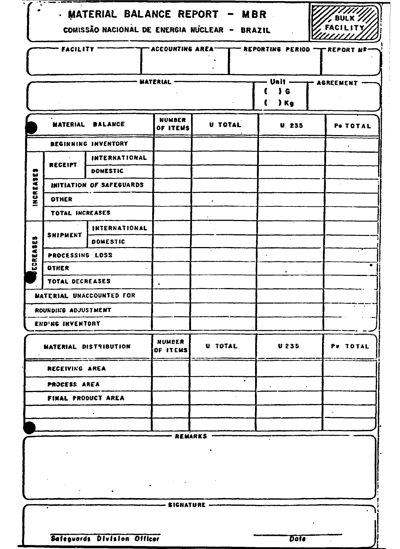|                                                        | - MATERIAL BALANCE REPORT - MBR<br>BULK $Z$<br>COMISSÃO NACIONAL DE ENERGIA NUCLEAR - BRAZIL |                          |                                                                   |           |                                                                       |           |
|--------------------------------------------------------|----------------------------------------------------------------------------------------------|--------------------------|-------------------------------------------------------------------|-----------|-----------------------------------------------------------------------|-----------|
|                                                        |                                                                                              |                          |                                                                   |           |                                                                       |           |
|                                                        | <b>FACILITY -</b>                                                                            |                          | $\overline{\phantom{a}}$ accounting area $\overline{\phantom{a}}$ |           | - REPORTING PERIOD - PREPORT N <sup>2</sup>                           |           |
|                                                        |                                                                                              |                          | - MATERIAL                                                        |           | Unit -                                                                | AGREEMENT |
|                                                        |                                                                                              |                          |                                                                   |           | $\sqrt{6}$<br>$\lambda$ Kg                                            |           |
|                                                        |                                                                                              |                          |                                                                   |           |                                                                       |           |
|                                                        | <b>MATERIAL</b>                                                                              | <b>BALANCE</b>           | <b>NUMBER</b><br>OF ITEMS                                         | U TOTAL   | <b>U. 235</b>                                                         | PU TOTAL  |
|                                                        |                                                                                              | BEGINNING INVENTORY      |                                                                   |           |                                                                       |           |
|                                                        | <b>RECEIPT</b>                                                                               | <b>INTERNATIONAL</b>     |                                                                   |           |                                                                       |           |
|                                                        |                                                                                              | DOMESTIC                 |                                                                   |           |                                                                       |           |
| <b>SUREASES</b>                                        |                                                                                              | INITIATION OF SAFEGUARDS |                                                                   |           |                                                                       |           |
|                                                        | <b>OTHER</b>                                                                                 |                          |                                                                   |           |                                                                       |           |
|                                                        | TOTAL INCREASES                                                                              |                          |                                                                   |           |                                                                       |           |
|                                                        |                                                                                              | INTERNATIONAL            |                                                                   |           |                                                                       |           |
|                                                        | <b>SHIPMENT</b>                                                                              | <b>DOMESTIC</b>          |                                                                   |           |                                                                       |           |
| ECREASES                                               | PROCESSING LOSS                                                                              |                          |                                                                   |           |                                                                       |           |
|                                                        | OTHER                                                                                        |                          |                                                                   |           | $\bullet$                                                             |           |
|                                                        | TOTAL DECREASES                                                                              |                          |                                                                   |           |                                                                       |           |
|                                                        |                                                                                              | MATERIAL UNACCOUNTED FOR |                                                                   |           |                                                                       |           |
|                                                        | ROUNDING ADJUSTMENT                                                                          |                          |                                                                   |           |                                                                       |           |
|                                                        | END'NG INVENTORY                                                                             |                          |                                                                   |           |                                                                       |           |
|                                                        |                                                                                              | MATERIAL DISTRIBUTION    | <b>NUMBER</b><br>OF ITEMS                                         | U TOTAL   | <b>U235</b>                                                           | PU TOTAL  |
|                                                        | RECEIVING AREA                                                                               |                          |                                                                   |           |                                                                       |           |
|                                                        | PROCESS AREA                                                                                 |                          |                                                                   | $\bullet$ | $\bullet$ - $\bullet$ - $\bullet$ - $\bullet$ - $\bullet$ - $\bullet$ |           |
|                                                        |                                                                                              | FINAL PRODUCT AREA       |                                                                   |           |                                                                       |           |
|                                                        |                                                                                              |                          |                                                                   |           |                                                                       |           |
|                                                        |                                                                                              |                          |                                                                   |           |                                                                       |           |
|                                                        |                                                                                              |                          | – REMARKS                                                         |           |                                                                       |           |
| $\mathcal{L} = \mathcal{L} \left( \mathcal{L} \right)$ |                                                                                              |                          |                                                                   |           |                                                                       |           |
|                                                        |                                                                                              |                          |                                                                   |           |                                                                       |           |
|                                                        |                                                                                              |                          | --- SIGNATURE -                                                   |           |                                                                       |           |
| Safeguards Division Officer<br><b>Date</b>             |                                                                                              |                          |                                                                   |           |                                                                       |           |

∫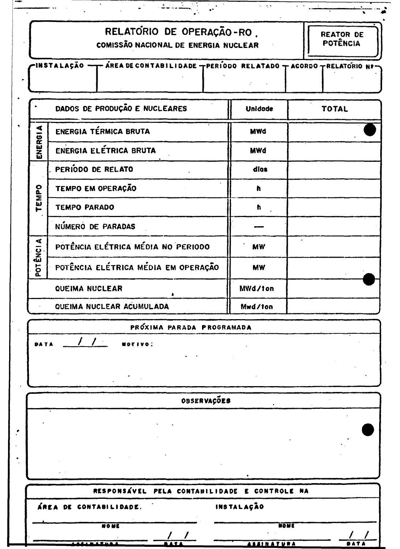|  |  | RELATÓRIO DE OPERAÇÃO-RO. |  |
|--|--|---------------------------|--|
|--|--|---------------------------|--|

للمتفقات الان

 $\epsilon$  ,  $\epsilon$ 

COMISSÃO NACIONAL DE ENERGIA NUCLEAR

| רINSTALAÇÃO <del>→ T AREA</del> DE CONTABILIDADE TPERIODO RELATADO T ACORDO TRELATORIO Nº |  |  |
|-------------------------------------------------------------------------------------------|--|--|
|                                                                                           |  |  |
|                                                                                           |  |  |

|                      | DADOS DE PRODUÇÃO E NUCLEARES       | <b>Unidade</b> | <b>TOTAL</b> |
|----------------------|-------------------------------------|----------------|--------------|
|                      | ENERGIA TÉRMICA BRUTA               | <b>MWd</b>     |              |
| ENERGIA              | ENERGIA ELÉTRICA BRUTA              | <b>MWd</b>     |              |
|                      | PERIODO DE RELATO                   | dios           |              |
|                      | TEMPO EM OPERAÇÃO                   | h              |              |
| TEMPO                | <b>TEMPO PARADO</b>                 | h              |              |
|                      | NÚMERO DE PARADAS                   |                |              |
| $\blacktriangleleft$ | POTÊNCIA ELÉTRICA MÉDIA NO PERIODO  | MW             |              |
| POT ÊNCI             | POTÊNCIA ELÉTRICA MÉDIA EM OPERAÇÃO | <b>MW</b>      |              |
|                      | QUEIMA NUCLEAR                      | MWd/ton        |              |
|                      | QUEIMA NUCLEAR ACUMULADA            | Mwd/ton        |              |

## PRÓXIMA PARADA PROGRAMADA

MOTIVO:

 $\cdot$ 

**DATA** 

Ĵ.

## OBSERVAÇÕES

|                           | RESPONSÁVEL PELA CONTABILIDADE E CONTROLE NA |            |                   |  |
|---------------------------|----------------------------------------------|------------|-------------------|--|
| ÁREA DE CONTABILIDADE.    |                                              | INSTALAÇÃO |                   |  |
| <b>NOME</b>               |                                              |            | NONE              |  |
|                           |                                              |            |                   |  |
| <i><b>AAAAAA THAA</b></i> |                                              |            | <b>ASSINATURA</b> |  |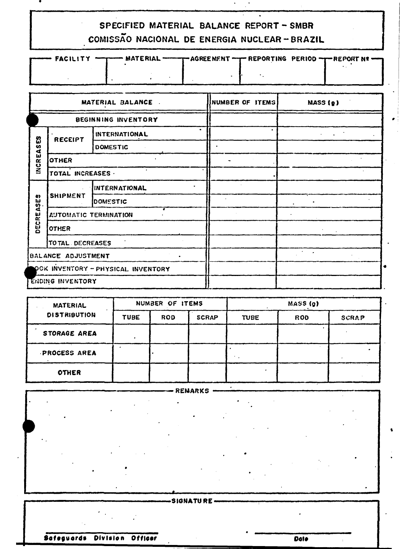# SPECIFIED MATERIAL BALANCE REPORT - SMBR COMISSÃO NACIONAL DE ENERGIA NUCLEAR-BRAZIL

| FIGURE FACILITY = THE MATERIAL = THE AGREEMENT = REPORTING PERIOD = THEPORT NE |  |  |  |
|--------------------------------------------------------------------------------|--|--|--|
|                                                                                |  |  |  |
|                                                                                |  |  |  |

|                    |                              | MATERIAL BALANCE.                  | NUMBER OF ITEMS | <b>MASS (g)</b> |
|--------------------|------------------------------|------------------------------------|-----------------|-----------------|
|                    |                              | BEGINNING INVENTORY                |                 |                 |
| တ္ယ                | RECEIPT                      | INTERNATIONAL                      |                 |                 |
| $\boldsymbol{a}$   |                              | <b>DOMESTIC</b>                    |                 |                 |
| INCREA             | OTHER                        |                                    |                 |                 |
|                    | TOTAL INCREASES .            |                                    |                 |                 |
|                    | <b>SHIPMENT</b>              | <b>IINTERNATIONAL</b>              |                 |                 |
| $\frac{3}{2}$      |                              | <b>OOMESTIC</b>                    |                 |                 |
| DECREA             | <b>AUTOMATIC TERMINATION</b> |                                    |                 |                 |
|                    | <b>OTHER</b>                 |                                    |                 |                 |
|                    | TO TAL DECREASES             |                                    |                 |                 |
| BALANCE ADJUSTMENT |                              |                                    | $\sim$ $ \sim$  |                 |
|                    |                              | OCK INVENTORY - PHYSICAL INVENTORY |                 |                 |
|                    | ENDING INVENTORY             |                                    |                 |                 |

| <b>MATERIAL</b><br><b>DISTRIBUTION</b> | NUMBER OF ITEMS |            |              | MASS (g)    |            |              |
|----------------------------------------|-----------------|------------|--------------|-------------|------------|--------------|
|                                        | <b>TUBE</b>     | <b>ROD</b> | <b>SCRAP</b> | <b>TUBE</b> | <b>ROD</b> | <b>SCRAP</b> |
| STORAGE AREA                           |                 |            |              |             |            |              |
| PROCESS AREA                           |                 |            |              |             |            |              |
| <b>OTHER</b>                           |                 |            |              |             |            |              |

|  | REMARKS    |  |
|--|------------|--|
|  |            |  |
|  |            |  |
|  |            |  |
|  |            |  |
|  |            |  |
|  |            |  |
|  |            |  |
|  | -SIGNATURE |  |
|  |            |  |

Safeguards Division Officer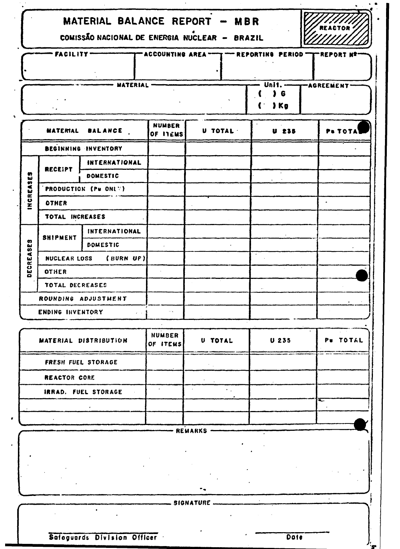|                       | MATERIAL BALANCE REPORT - MBR<br>COMISSÃO NACIONAL DE ENERGIA NUCLEAR - BRAZIL             |                            |                           |                     |              |          |  |  |
|-----------------------|--------------------------------------------------------------------------------------------|----------------------------|---------------------------|---------------------|--------------|----------|--|--|
|                       | FACILITY-<br>T ACCOUNTING AREA -- T -- REPORTING PERIOD -<br>"REPORT N'                    |                            |                           |                     |              |          |  |  |
|                       | Unit. --<br>- MATERIAL -<br>-AGREEMENT-<br>G<br>) <sub>Kg</sub><br>C                       |                            |                           |                     |              |          |  |  |
|                       | <b>MATERIAL</b>                                                                            | <b>BALANCE</b>             | <b>NUMBER</b><br>OF ITEMS | U TOTAL             | <b>U 235</b> | P& TOTA  |  |  |
|                       |                                                                                            | <b>BEGINNING INVENTORY</b> |                           |                     |              |          |  |  |
|                       | <b>RECEIPT</b>                                                                             | INTERNATIONAL              |                           |                     |              |          |  |  |
| $\boldsymbol{\omega}$ |                                                                                            | <b>DOMESTIC</b>            | $\sim$                    |                     |              |          |  |  |
| INCREAS               |                                                                                            | PRODUCTION (Pu ONLY)       |                           |                     |              |          |  |  |
|                       | <b>OTHER</b>                                                                               |                            |                           |                     |              |          |  |  |
|                       | TOTAL INCREASES                                                                            |                            |                           |                     |              |          |  |  |
|                       |                                                                                            | INTERNATIONAL              |                           |                     |              |          |  |  |
| က<br>တို့             | <b>SHIPMENT</b>                                                                            | <b>DOMESTIC</b>            |                           |                     |              |          |  |  |
| ECREA                 |                                                                                            | NUCLEAR LOSS (BURN UP)     |                           |                     |              |          |  |  |
| ۰                     | <b>OTHER</b>                                                                               |                            |                           |                     |              |          |  |  |
|                       | TOTAL DECREASES                                                                            |                            |                           |                     |              |          |  |  |
|                       |                                                                                            | ROUNDING ADJUSTMENT        |                           |                     |              |          |  |  |
|                       | ENDING INVENTORY                                                                           | $\lambda=0$                |                           |                     |              |          |  |  |
|                       |                                                                                            | MATERIAL DISTRIBUTION      | <b>NUMBER</b><br>OF ITEMS | U TOTAL             | $U$ 235      | Pu TOTAL |  |  |
|                       |                                                                                            | FRESH FUEL STORAGE         |                           | $\gamma_{\rm{max}}$ |              |          |  |  |
|                       | REACTOR CORE                                                                               |                            |                           |                     |              |          |  |  |
|                       |                                                                                            | <b>IRRAD. FUEL STORAGE</b> |                           |                     |              |          |  |  |
|                       |                                                                                            |                            |                           |                     |              | ≂        |  |  |
|                       |                                                                                            |                            |                           |                     |              |          |  |  |
|                       |                                                                                            |                            |                           | REMARKS .           |              |          |  |  |
|                       |                                                                                            |                            |                           |                     |              |          |  |  |
|                       |                                                                                            |                            |                           |                     |              |          |  |  |
|                       | --------------------- SIGNATURE ------<br>$\bullet$<br>Safoguards Division Officer<br>Dote |                            |                           |                     |              |          |  |  |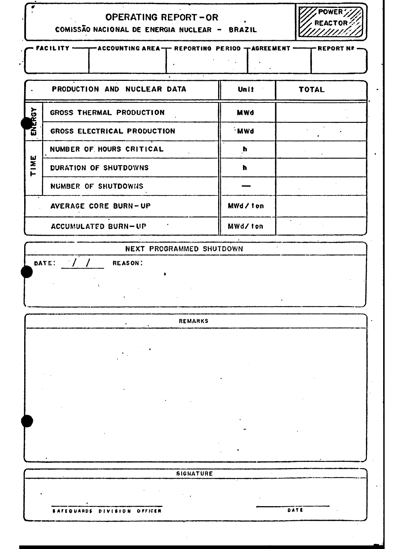| OPERATING REPORT-OR |  |
|---------------------|--|
| .                   |  |

| COMISSÃO NACIONAL DE ENERGIA NUCLEAR - |  |  |  | <b>BRAZIL</b> |
|----------------------------------------|--|--|--|---------------|
|----------------------------------------|--|--|--|---------------|

|                                                                                           | <b>PIIPIIAIN IIAAPPENII</b><br><u>ammund</u> |            |              |  |  |  |  |  |  |  |
|-------------------------------------------------------------------------------------------|----------------------------------------------|------------|--------------|--|--|--|--|--|--|--|
| FACILITY ----------- ACCOUNTING AREA-T- REPORTING PERIOD TAGREEMENT ----------- REPORT NP |                                              |            |              |  |  |  |  |  |  |  |
|                                                                                           | PRODUCTION AND NUCLEAR DATA                  | Unit       | <b>TOTAL</b> |  |  |  |  |  |  |  |
| ŠΣ                                                                                        | GROSS THERMAL PRODUCTION                     | <b>MWd</b> |              |  |  |  |  |  |  |  |
| <b>ANER</b>                                                                               | GROSS ELECTRICAL PRODUCTION                  | <b>MWd</b> |              |  |  |  |  |  |  |  |
|                                                                                           | NUMBER OF HOURS CRITICAL                     | ħ          |              |  |  |  |  |  |  |  |
| INE<br>⊢                                                                                  | DURATION OF SHUTDOWNS                        | ħ          |              |  |  |  |  |  |  |  |
|                                                                                           | NUMBER OF SHUTDOWNS                          |            |              |  |  |  |  |  |  |  |
|                                                                                           | <b>AVERAGE CORE BURN-UP</b>                  | MWd/ton    |              |  |  |  |  |  |  |  |
|                                                                                           | <b>ACCUMULATED BURN-UP</b>                   | MWd/ton    |              |  |  |  |  |  |  |  |

NEXT PROGRAMMED SHUTDOWN

DATE:  $\mathcal{L}$ **REASON:** 

**REMARKS** 

SIGNATURE